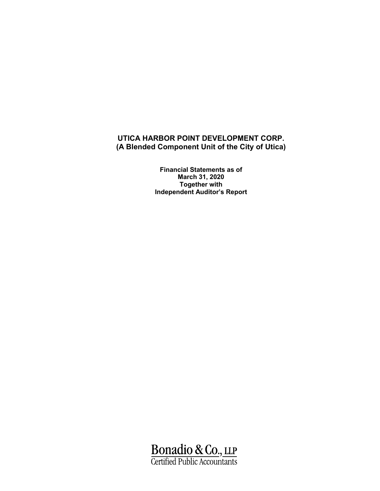# **UTICA HARBOR POINT DEVELOPMENT CORP. (A Blended Component Unit of the City of Utica)**

**Financial Statements as of March 31, 2020 Together with Independent Auditor's Report**

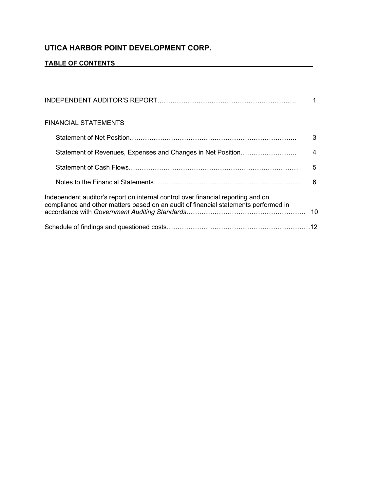# **TABLE OF CONTENTS**

| <b>FINANCIAL STATEMENTS</b>                                                                                                                                             |                |
|-------------------------------------------------------------------------------------------------------------------------------------------------------------------------|----------------|
|                                                                                                                                                                         | 3              |
| Statement of Revenues, Expenses and Changes in Net Position                                                                                                             | $\overline{4}$ |
|                                                                                                                                                                         | 5              |
|                                                                                                                                                                         | $6^{\circ}$    |
| Independent auditor's report on internal control over financial reporting and on<br>compliance and other matters based on an audit of financial statements performed in |                |
|                                                                                                                                                                         |                |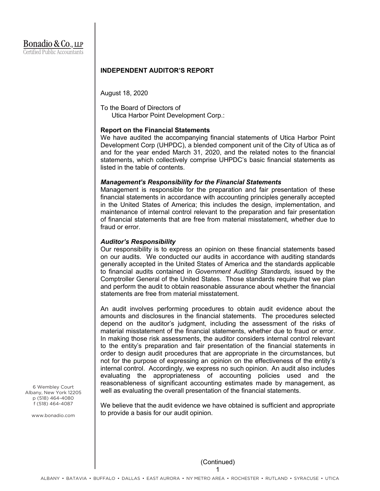## **INDEPENDENT AUDITOR'S REPORT**

August 18, 2020

To the Board of Directors of Utica Harbor Point Development Corp.:

#### **Report on the Financial Statements**

We have audited the accompanying financial statements of Utica Harbor Point Development Corp (UHPDC), a blended component unit of the City of Utica as of and for the year ended March 31, 2020, and the related notes to the financial statements, which collectively comprise UHPDC's basic financial statements as listed in the table of contents.

#### *Management's Responsibility for the Financial Statements*

Management is responsible for the preparation and fair presentation of these financial statements in accordance with accounting principles generally accepted in the United States of America; this includes the design, implementation, and maintenance of internal control relevant to the preparation and fair presentation of financial statements that are free from material misstatement, whether due to fraud or error.

## *Auditor's Responsibility*

Our responsibility is to express an opinion on these financial statements based on our audits. We conducted our audits in accordance with auditing standards generally accepted in the United States of America and the standards applicable to financial audits contained in *Government Auditing Standards,* issued by the Comptroller General of the United States. Those standards require that we plan and perform the audit to obtain reasonable assurance about whether the financial statements are free from material misstatement.

An audit involves performing procedures to obtain audit evidence about the amounts and disclosures in the financial statements. The procedures selected depend on the auditor's judgment, including the assessment of the risks of material misstatement of the financial statements, whether due to fraud or error. In making those risk assessments, the auditor considers internal control relevant to the entity's preparation and fair presentation of the financial statements in order to design audit procedures that are appropriate in the circumstances, but not for the purpose of expressing an opinion on the effectiveness of the entity's internal control. Accordingly, we express no such opinion. An audit also includes evaluating the appropriateness of accounting policies used and the reasonableness of significant accounting estimates made by management, as well as evaluating the overall presentation of the financial statements.

We believe that the audit evidence we have obtained is sufficient and appropriate to provide a basis for our audit opinion.

6 Wembley Court Albany, New York 12205 p (518) 464-4080 f (518) 464-4087

www.bonadio.com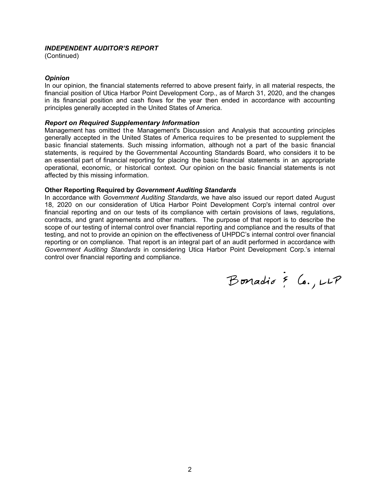## *INDEPENDENT AUDITOR'S REPORT*

(Continued)

## *Opinion*

In our opinion, the financial statements referred to above present fairly, in all material respects, the financial position of Utica Harbor Point Development Corp., as of March 31, 2020, and the changes in its financial position and cash flows for the year then ended in accordance with accounting principles generally accepted in the United States of America.

## *Report on Required Supplementary Information*

Management has omitted the Management's Discussion and Analysis that accounting principles generally accepted in the United States of America requires to be presented to supplement the basic financial statements. Such missing information, although not a part of the basic financial statements, is required by the Governmental Accounting Standards Board, who considers it to be an essential part of financial reporting for placing the basic financial statements in an appropriate operational, economic, or historical context. Our opinion on the basic financial statements is not affected by this missing information.

## **Other Reporting Required by** *Government Auditing Standards*

In accordance with *Government Auditing Standards*, we have also issued our report dated August 18, 2020 on our consideration of Utica Harbor Point Development Corp's internal control over financial reporting and on our tests of its compliance with certain provisions of laws, regulations, contracts, and grant agreements and other matters. The purpose of that report is to describe the scope of our testing of internal control over financial reporting and compliance and the results of that testing, and not to provide an opinion on the effectiveness of UHPDC's internal control over financial reporting or on compliance. That report is an integral part of an audit performed in accordance with *Government Auditing Standards* in considering Utica Harbor Point Development Corp.'s internal control over financial reporting and compliance.

Bonadio & Co., LLP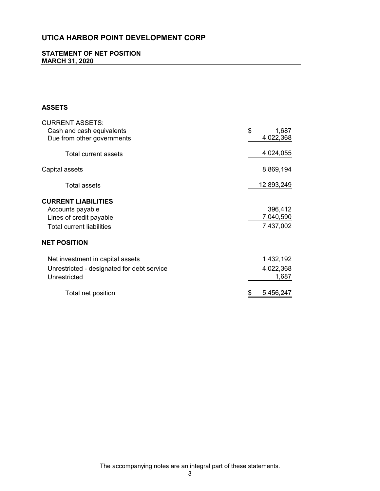# **STATEMENT OF NET POSITION MARCH 31, 2020**

## **ASSETS**

| <b>CURRENT ASSETS:</b>                     |                 |
|--------------------------------------------|-----------------|
| Cash and cash equivalents                  | \$<br>1,687     |
| Due from other governments                 | 4,022,368       |
|                                            |                 |
| Total current assets                       | 4,024,055       |
| Capital assets                             | 8,869,194       |
| <b>Total assets</b>                        | 12,893,249      |
| <b>CURRENT LIABILITIES</b>                 |                 |
| Accounts payable                           | 396,412         |
| Lines of credit payable                    | 7,040,590       |
| <b>Total current liabilities</b>           | 7,437,002       |
| <b>NET POSITION</b>                        |                 |
| Net investment in capital assets           | 1,432,192       |
| Unrestricted - designated for debt service | 4,022,368       |
| Unrestricted                               | 1,687           |
| Total net position                         | 5,456,247<br>\$ |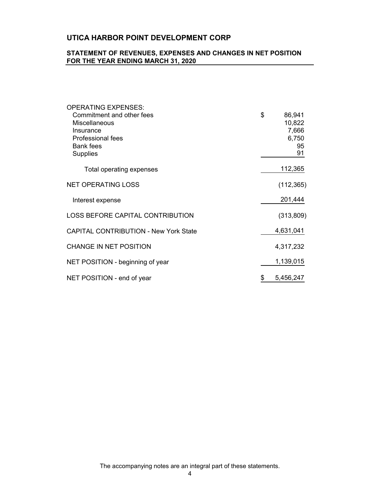# **STATEMENT OF REVENUES, EXPENSES AND CHANGES IN NET POSITION FOR THE YEAR ENDING MARCH 31, 2020**

| <b>OPERATING EXPENSES:</b>                   |                 |
|----------------------------------------------|-----------------|
| Commitment and other fees                    | \$<br>86,941    |
| Miscellaneous                                | 10,822          |
| Insurance                                    | 7,666           |
| Professional fees                            | 6,750           |
| <b>Bank fees</b>                             | 95              |
| <b>Supplies</b>                              | 91              |
| Total operating expenses                     | 112,365         |
| <b>NET OPERATING LOSS</b>                    | (112, 365)      |
| Interest expense                             | 201,444         |
| LOSS BEFORE CAPITAL CONTRIBUTION             | (313,809)       |
| <b>CAPITAL CONTRIBUTION - New York State</b> | 4,631,041       |
| <b>CHANGE IN NET POSITION</b>                | 4,317,232       |
| NET POSITION - beginning of year             | 1,139,015       |
| NET POSITION - end of year                   | \$<br>5,456,247 |

The accompanying notes are an integral part of these statements.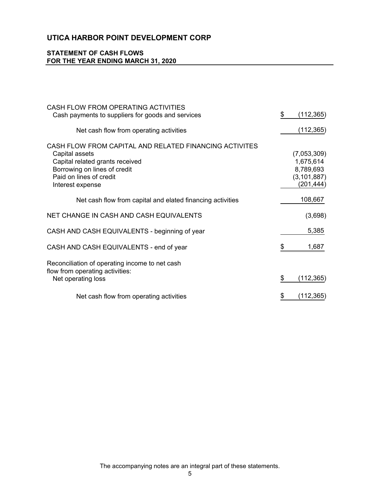# **STATEMENT OF CASH FLOWS FOR THE YEAR ENDING MARCH 31, 2020**

| CASH FLOW FROM OPERATING ACTIVITIES<br>Cash payments to suppliers for goods and services                                                                                                   | \$<br>(112,365)                                                      |
|--------------------------------------------------------------------------------------------------------------------------------------------------------------------------------------------|----------------------------------------------------------------------|
| Net cash flow from operating activities                                                                                                                                                    | (112, 365)                                                           |
| CASH FLOW FROM CAPITAL AND RELATED FINANCING ACTIVITES<br>Capital assets<br>Capital related grants received<br>Borrowing on lines of credit<br>Paid on lines of credit<br>Interest expense | (7,053,309)<br>1,675,614<br>8,789,693<br>(3, 101, 887)<br>(201, 444) |
| Net cash flow from capital and elated financing activities                                                                                                                                 | 108,667                                                              |
| NET CHANGE IN CASH AND CASH EQUIVALENTS                                                                                                                                                    | (3,698)                                                              |
| CASH AND CASH EQUIVALENTS - beginning of year                                                                                                                                              | 5,385                                                                |
| CASH AND CASH EQUIVALENTS - end of year                                                                                                                                                    | 1,687                                                                |
| Reconciliation of operating income to net cash<br>flow from operating activities:<br>Net operating loss                                                                                    | \$<br>(112,365)                                                      |
| Net cash flow from operating activities                                                                                                                                                    | \$<br>(112,365)                                                      |

The accompanying notes are an integral part of these statements.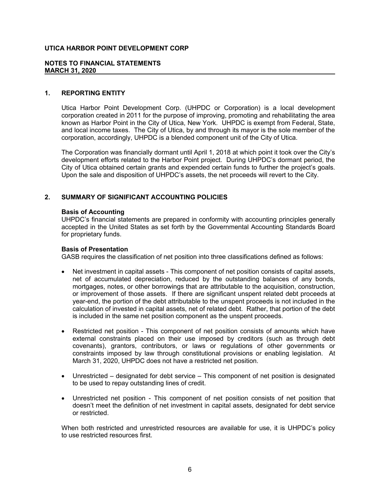#### **NOTES TO FINANCIAL STATEMENTS MARCH 31, 2020**

#### **1. REPORTING ENTITY**

Utica Harbor Point Development Corp. (UHPDC or Corporation) is a local development corporation created in 2011 for the purpose of improving, promoting and rehabilitating the area known as Harbor Point in the City of Utica, New York. UHPDC is exempt from Federal, State, and local income taxes. The City of Utica, by and through its mayor is the sole member of the corporation, accordingly, UHPDC is a blended component unit of the City of Utica.

The Corporation was financially dormant until April 1, 2018 at which point it took over the City's development efforts related to the Harbor Point project. During UHPDC's dormant period, the City of Utica obtained certain grants and expended certain funds to further the project's goals. Upon the sale and disposition of UHPDC's assets, the net proceeds will revert to the City.

# **2. SUMMARY OF SIGNIFICANT ACCOUNTING POLICIES**

#### **Basis of Accounting**

UHPDC's financial statements are prepared in conformity with accounting principles generally accepted in the United States as set forth by the Governmental Accounting Standards Board for proprietary funds.

### **Basis of Presentation**

GASB requires the classification of net position into three classifications defined as follows:

- Net investment in capital assets This component of net position consists of capital assets, net of accumulated depreciation, reduced by the outstanding balances of any bonds, mortgages, notes, or other borrowings that are attributable to the acquisition, construction, or improvement of those assets. If there are significant unspent related debt proceeds at year-end, the portion of the debt attributable to the unspent proceeds is not included in the calculation of invested in capital assets, net of related debt. Rather, that portion of the debt is included in the same net position component as the unspent proceeds.
- Restricted net position This component of net position consists of amounts which have external constraints placed on their use imposed by creditors (such as through debt covenants), grantors, contributors, or laws or regulations of other governments or constraints imposed by law through constitutional provisions or enabling legislation. At March 31, 2020, UHPDC does not have a restricted net position.
- Unrestricted designated for debt service This component of net position is designated to be used to repay outstanding lines of credit.
- Unrestricted net position This component of net position consists of net position that doesn't meet the definition of net investment in capital assets, designated for debt service or restricted.

When both restricted and unrestricted resources are available for use, it is UHPDC's policy to use restricted resources first.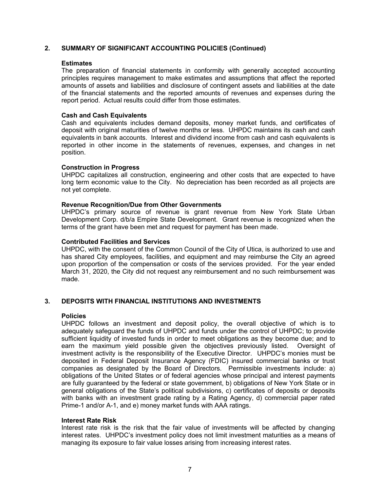# **2. SUMMARY OF SIGNIFICANT ACCOUNTING POLICIES (Continued)**

#### **Estimates**

The preparation of financial statements in conformity with generally accepted accounting principles requires management to make estimates and assumptions that affect the reported amounts of assets and liabilities and disclosure of contingent assets and liabilities at the date of the financial statements and the reported amounts of revenues and expenses during the report period. Actual results could differ from those estimates.

#### **Cash and Cash Equivalents**

Cash and equivalents includes demand deposits, money market funds, and certificates of deposit with original maturities of twelve months or less. UHPDC maintains its cash and cash equivalents in bank accounts. Interest and dividend income from cash and cash equivalents is reported in other income in the statements of revenues, expenses, and changes in net position.

### **Construction in Progress**

UHPDC capitalizes all construction, engineering and other costs that are expected to have long term economic value to the City. No depreciation has been recorded as all projects are not yet complete.

#### **Revenue Recognition/Due from Other Governments**

UHPDC's primary source of revenue is grant revenue from New York State Urban Development Corp. d/b/a Empire State Development. Grant revenue is recognized when the terms of the grant have been met and request for payment has been made.

## **Contributed Facilities and Services**

UHPDC, with the consent of the Common Council of the City of Utica, is authorized to use and has shared City employees, facilities, and equipment and may reimburse the City an agreed upon proportion of the compensation or costs of the services provided. For the year ended March 31, 2020, the City did not request any reimbursement and no such reimbursement was made.

# **3. DEPOSITS WITH FINANCIAL INSTITUTIONS AND INVESTMENTS**

#### **Policies**

UHPDC follows an investment and deposit policy, the overall objective of which is to adequately safeguard the funds of UHPDC and funds under the control of UHPDC; to provide sufficient liquidity of invested funds in order to meet obligations as they become due; and to earn the maximum yield possible given the objectives previously listed. Oversight of investment activity is the responsibility of the Executive Director. UHPDC's monies must be deposited in Federal Deposit Insurance Agency (FDIC) insured commercial banks or trust companies as designated by the Board of Directors. Permissible investments include: a) obligations of the United States or of federal agencies whose principal and interest payments are fully guaranteed by the federal or state government, b) obligations of New York State or in general obligations of the State's political subdivisions, c) certificates of deposits or deposits with banks with an investment grade rating by a Rating Agency, d) commercial paper rated Prime-1 and/or A-1, and e) money market funds with AAA ratings.

#### **Interest Rate Risk**

Interest rate risk is the risk that the fair value of investments will be affected by changing interest rates. UHPDC's investment policy does not limit investment maturities as a means of managing its exposure to fair value losses arising from increasing interest rates.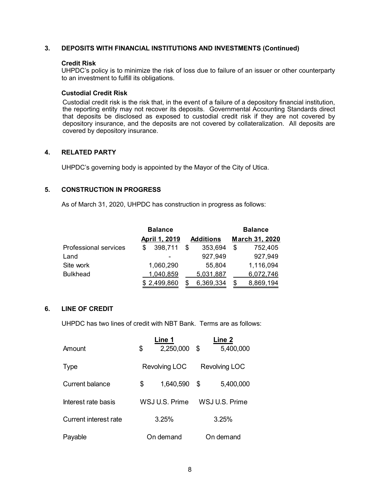## **3. DEPOSITS WITH FINANCIAL INSTITUTIONS AND INVESTMENTS (Continued)**

### **Credit Risk**

UHPDC's policy is to minimize the risk of loss due to failure of an issuer or other counterparty to an investment to fulfill its obligations.

## **Custodial Credit Risk**

Custodial credit risk is the risk that, in the event of a failure of a depository financial institution, the reporting entity may not recover its deposits. Governmental Accounting Standards direct that deposits be disclosed as exposed to custodial credit risk if they are not covered by depository insurance, and the deposits are not covered by collateralization. All deposits are covered by depository insurance.

# **4. RELATED PARTY**

UHPDC's governing body is appointed by the Mayor of the City of Utica.

# **5. CONSTRUCTION IN PROGRESS**

As of March 31, 2020, UHPDC has construction in progress as follows:

|                              | <b>Balance</b> |     |                  | <b>Balance</b>        |
|------------------------------|----------------|-----|------------------|-----------------------|
|                              | April 1, 2019  |     | <b>Additions</b> | <b>March 31, 2020</b> |
| <b>Professional services</b> | 398,711        | \$. | 353,694          | \$<br>752,405         |
| Land                         |                |     | 927,949          | 927,949               |
| Site work                    | 1,060,290      |     | 55,804           | 1,116,094             |
| <b>Bulkhead</b>              | 1,040,859      |     | 5,031,887        | 6,072,746             |
|                              | \$2,499,860    | S   | 6,369,334        | 8,869,194             |

# **6. LINE OF CREDIT**

UHPDC has two lines of credit with NBT Bank. Terms are as follows:

|                       | Line 1          |     | Line 2         |
|-----------------------|-----------------|-----|----------------|
| Amount                | \$<br>2,250,000 | -\$ | 5,400,000      |
| Type                  | Revolving LOC   |     | Revolving LOC  |
| Current balance       | \$<br>1,640,590 | \$  | 5,400,000      |
| Interest rate basis   | WSJ U.S. Prime  |     | WSJ U.S. Prime |
| Current interest rate | 3.25%           |     | 3.25%          |
| Payable               | On demand       |     | On demand      |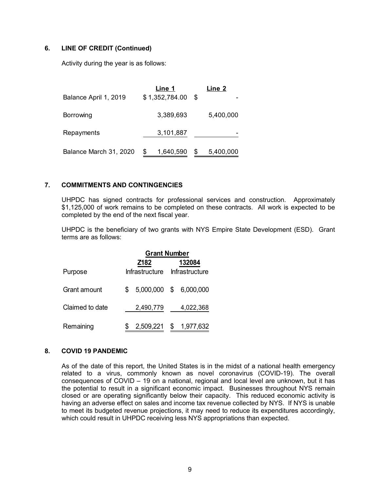# **6. LINE OF CREDIT (Continued)**

Activity during the year is as follows:

|                        | Line 1          |   | Line 2    |
|------------------------|-----------------|---|-----------|
| Balance April 1, 2019  | \$1,352,784.00  | S |           |
| Borrowing              | 3,389,693       |   | 5,400,000 |
| Repayments             | 3,101,887       |   |           |
| Balance March 31, 2020 | \$<br>1,640,590 | S | 5,400,000 |

# **7. COMMITMENTS AND CONTINGENCIES**

UHPDC has signed contracts for professional services and construction. Approximately \$1,125,000 of work remains to be completed on these contracts. All work is expected to be completed by the end of the next fiscal year.

UHPDC is the beneficiary of two grants with NYS Empire State Development (ESD). Grant terms are as follows:

|                 | <b>Grant Number</b> |                |        |                        |  |  |
|-----------------|---------------------|----------------|--------|------------------------|--|--|
|                 |                     | Z182           | 132084 |                        |  |  |
| Purpose         |                     | Infrastructure |        | <b>Infrastructure</b>  |  |  |
| Grant amount    | S                   |                |        | 5,000,000 \$ 6,000,000 |  |  |
| Claimed to date |                     | 2,490,779      |        | 4,022,368              |  |  |
| Remaining       |                     | 2,509,221      | \$     | 1,977,632              |  |  |

# **8. COVID 19 PANDEMIC**

As of the date of this report, the United States is in the midst of a national health emergency related to a virus, commonly known as novel coronavirus (COVID-19). The overall consequences of COVID – 19 on a national, regional and local level are unknown, but it has the potential to result in a significant economic impact. Businesses throughout NYS remain closed or are operating significantly below their capacity. This reduced economic activity is having an adverse effect on sales and income tax revenue collected by NYS. If NYS is unable to meet its budgeted revenue projections, it may need to reduce its expenditures accordingly, which could result in UHPDC receiving less NYS appropriations than expected.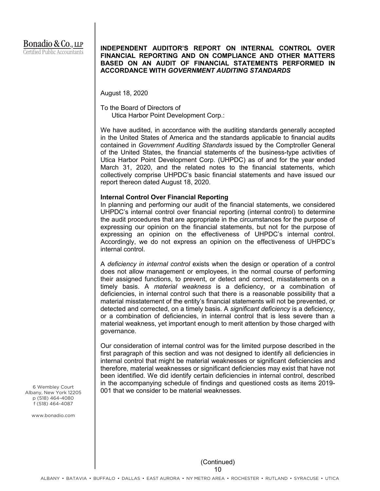# **INDEPENDENT AUDITOR'S REPORT ON INTERNAL CONTROL OVER FINANCIAL REPORTING AND ON COMPLIANCE AND OTHER MATTERS BASED ON AN AUDIT OF FINANCIAL STATEMENTS PERFORMED IN ACCORDANCE WITH** *GOVERNMENT AUDITING STANDARDS*

August 18, 2020

To the Board of Directors of Utica Harbor Point Development Corp.:

We have audited, in accordance with the auditing standards generally accepted in the United States of America and the standards applicable to financial audits contained in *Government Auditing Standards* issued by the Comptroller General of the United States, the financial statements of the business-type activities of Utica Harbor Point Development Corp. (UHPDC) as of and for the year ended March 31, 2020, and the related notes to the financial statements, which collectively comprise UHPDC's basic financial statements and have issued our report thereon dated August 18, 2020.

## **Internal Control Over Financial Reporting**

In planning and performing our audit of the financial statements, we considered UHPDC's internal control over financial reporting (internal control) to determine the audit procedures that are appropriate in the circumstances for the purpose of expressing our opinion on the financial statements, but not for the purpose of expressing an opinion on the effectiveness of UHPDC's internal control. Accordingly, we do not express an opinion on the effectiveness of UHPDC's internal control.

A *deficiency in internal control* exists when the design or operation of a control does not allow management or employees, in the normal course of performing their assigned functions, to prevent, or detect and correct, misstatements on a timely basis. A *material weakness* is a deficiency, or a combination of deficiencies, in internal control such that there is a reasonable possibility that a material misstatement of the entity's financial statements will not be prevented, or detected and corrected, on a timely basis. A *significant deficiency* is a deficiency, or a combination of deficiencies, in internal control that is less severe than a material weakness, yet important enough to merit attention by those charged with governance.

Our consideration of internal control was for the limited purpose described in the first paragraph of this section and was not designed to identify all deficiencies in internal control that might be material weaknesses or significant deficiencies and therefore, material weaknesses or significant deficiencies may exist that have not been identified. We did identify certain deficiencies in internal control, described in the accompanying schedule of findings and questioned costs as items 2019- 6 Wembley Court **6 Wembley Court 1001 that we consider to be material weaknesses.** 

Albany, New York 12205 p (518) 464-4080 f (518) 464-4087

www.bonadio.com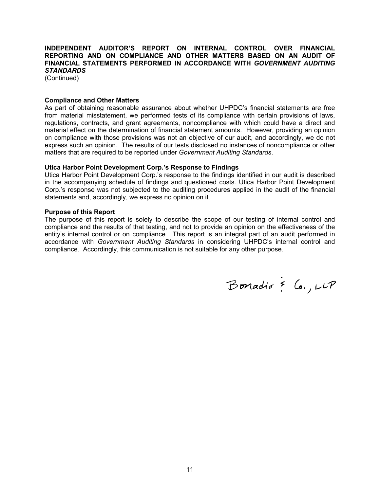# **INDEPENDENT AUDITOR'S REPORT ON INTERNAL CONTROL OVER FINANCIAL REPORTING AND ON COMPLIANCE AND OTHER MATTERS BASED ON AN AUDIT OF FINANCIAL STATEMENTS PERFORMED IN ACCORDANCE WITH** *GOVERNMENT AUDITING STANDARDS*

(Continued)

#### **Compliance and Other Matters**

As part of obtaining reasonable assurance about whether UHPDC's financial statements are free from material misstatement, we performed tests of its compliance with certain provisions of laws, regulations, contracts, and grant agreements, noncompliance with which could have a direct and material effect on the determination of financial statement amounts. However, providing an opinion on compliance with those provisions was not an objective of our audit, and accordingly, we do not express such an opinion. The results of our tests disclosed no instances of noncompliance or other matters that are required to be reported under *Government Auditing Standards*.

#### **Utica Harbor Point Development Corp.'s Response to Findings**

Utica Harbor Point Development Corp.'s response to the findings identified in our audit is described in the accompanying schedule of findings and questioned costs. Utica Harbor Point Development Corp.'s response was not subjected to the auditing procedures applied in the audit of the financial statements and, accordingly, we express no opinion on it.

#### **Purpose of this Report**

The purpose of this report is solely to describe the scope of our testing of internal control and compliance and the results of that testing, and not to provide an opinion on the effectiveness of the entity's internal control or on compliance. This report is an integral part of an audit performed in accordance with *Government Auditing Standards* in considering UHPDC's internal control and compliance. Accordingly, this communication is not suitable for any other purpose.

Bonadio & Co., LLP